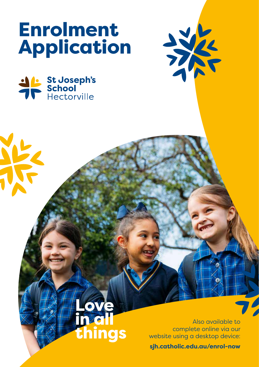# Enrolment Application

things



Also available to complete online via our website using a desktop device:

HAR

**sjh.catholic.edu.au/enrol-now**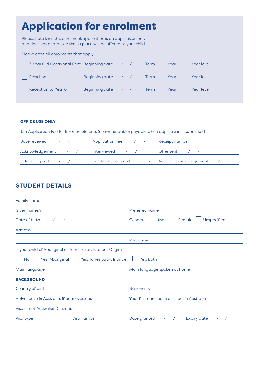# Application for enrolment

Please note that this enrolment application is an application only and does not guarantee that a place will be offered to your child.

Please cross all enrolments that apply:

| 3 Year Old Occasional Care Beginning date |                       |  | Term | Year | Year level        |
|-------------------------------------------|-----------------------|--|------|------|-------------------|
| Preschool                                 | Beginning date        |  | Term | Year | <b>Year level</b> |
| Reception to Year 6                       | <b>Beginning date</b> |  | Term | Year | <b>Year level</b> |

| <b>OFFICE USE ONLY</b>                                                                           |                        |                        |
|--------------------------------------------------------------------------------------------------|------------------------|------------------------|
| \$35 Application Fee for R - 6 enrolments (non-refundable) payable when application is submitted |                        |                        |
| Date received                                                                                    | <b>Application Fee</b> | Receipt number         |
| Acknowledgement                                                                                  | <b>Interviewed</b>     | Offer sent             |
| Offer accepted                                                                                   | Enrolment Fee paid     | Accept acknowledgement |

### **STUDENT DETAILS**

| <b>Family name</b>                          |                                                               |                                                  |
|---------------------------------------------|---------------------------------------------------------------|--------------------------------------------------|
| Given name/s                                |                                                               | Preferred name                                   |
| Date of birth                               |                                                               | Male<br>Female<br>Unspecified<br>Gender          |
| <b>Address</b>                              |                                                               |                                                  |
|                                             |                                                               | Post code                                        |
|                                             | Is your child of Aboriginal or Torres Strait Islander Origin? |                                                  |
| <b>No</b>                                   | Yes, Aboriginal   Yes, Torres Strait Islander                 | Yes, both                                        |
| Main language                               |                                                               | Main language spoken at home                     |
| <b>BACKGROUND</b>                           |                                                               |                                                  |
| Country of birth                            |                                                               | Nationality                                      |
| Arrival date in Australia, if born overseas |                                                               | Year first enrolled in a school in Australia     |
| Visa (if not Australian Citizen):           |                                                               |                                                  |
| Visa type                                   | Visa number                                                   | Date granted<br><b>Expiry date</b><br>$\sqrt{2}$ |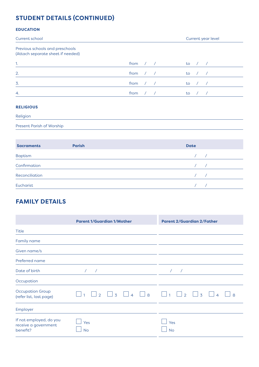# **STUDENT DETAILS (CONTINUED)**

### **EDUCATION**

| Current school                                                       |      | Current year level |
|----------------------------------------------------------------------|------|--------------------|
| Previous schools and preschools<br>(Attach separate sheet if needed) |      |                    |
| $\mathbf{1}$ .                                                       | from | to                 |
| 2.                                                                   | from | to                 |
| $\overline{3}$ .                                                     | from | to                 |
| 4.                                                                   | from | to                 |
| ________                                                             |      |                    |

### **RELIGIOUS**

Religion

Present Parish of Worship

| <b>Sacraments</b> | <b>Parish</b> | <b>Date</b> |            |
|-------------------|---------------|-------------|------------|
| <b>Baptism</b>    |               |             |            |
| Confirmation      |               |             | $\sqrt{1}$ |
| Reconciliation    |               | $\sqrt{1}$  |            |
| Eucharist         |               |             |            |

# **FAMILY DETAILS**

|                                                             | <b>Parent 1/Guardian 1/Mother</b>                                  | <b>Parent 2/Guardian 2/Father</b>                                       |
|-------------------------------------------------------------|--------------------------------------------------------------------|-------------------------------------------------------------------------|
| <b>Title</b>                                                |                                                                    |                                                                         |
| Family name                                                 |                                                                    |                                                                         |
| Given name/s                                                |                                                                    |                                                                         |
| Preferred name                                              |                                                                    |                                                                         |
| Date of birth                                               | $\prime$                                                           | $\sqrt{ }$                                                              |
| Occupation                                                  |                                                                    |                                                                         |
| <b>Occupation Group</b><br>(refer list, last page)          | $\Box$ 8<br>$\overline{3}$<br>$\overline{4}$<br>$\mathcal{P}$<br>1 | $\overline{3}$<br>$\overline{2}$<br>$\mathbf{1}$<br>$\overline{4}$<br>8 |
| Employer                                                    |                                                                    |                                                                         |
| If not employed, do you<br>receive a government<br>benefit? | Yes<br><b>No</b>                                                   | Yes<br>No                                                               |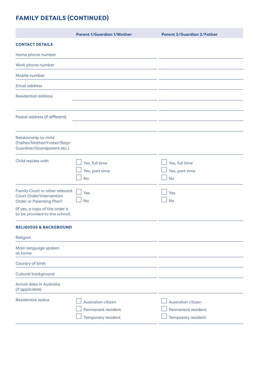# **FAMILY DETAILS (CONTINUED)**

|                                                                                                      | <b>Parent 1/Guardian 1/Mother</b>                              | <b>Parent 2/Guardian 2/Father</b>                              |
|------------------------------------------------------------------------------------------------------|----------------------------------------------------------------|----------------------------------------------------------------|
| <b>CONTACT DETAILS</b>                                                                               |                                                                |                                                                |
| Home phone number                                                                                    |                                                                |                                                                |
| Work phone number                                                                                    |                                                                |                                                                |
| Mobile number                                                                                        |                                                                |                                                                |
| <b>Email address</b>                                                                                 |                                                                |                                                                |
| <b>Residential address</b>                                                                           |                                                                |                                                                |
| Postal address (if different)                                                                        |                                                                |                                                                |
|                                                                                                      |                                                                |                                                                |
| Relationship to child<br>(Father/Mother/Foster/Step/<br>Guardian/Grandparent etc.)                   |                                                                |                                                                |
| Child resides with                                                                                   | Yes, full time<br>Yes, part time<br><b>No</b>                  | Yes, full time<br>Yes, part time<br><b>No</b>                  |
| Family Court or other relevant<br><b>Court Order/Intervention</b><br><b>Order or Parenting Plan?</b> | Yes<br><b>No</b>                                               | Yes<br><b>No</b>                                               |
| (If yes, a copy of the order is<br>to be provided to the school)                                     |                                                                |                                                                |
| <b>RELIGIOUS &amp; BACKGROUND</b>                                                                    |                                                                |                                                                |
| Religion                                                                                             |                                                                |                                                                |
| Main language spoken<br>at home                                                                      |                                                                |                                                                |
| Country of birth                                                                                     |                                                                |                                                                |
| Cultural background                                                                                  |                                                                |                                                                |
| Arrival date in Australia<br>(if applicable)                                                         |                                                                |                                                                |
| <b>Residential status</b>                                                                            | Australian citizen<br>Permanent resident<br>Temporary resident | Australian citizen<br>Permanent resident<br>Temporary resident |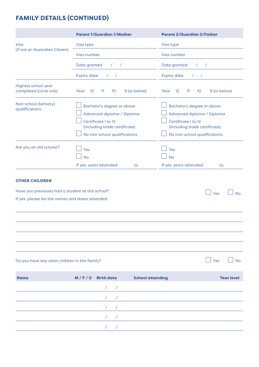# **FAMILY DETAILS (CONTINUED)**

|                                                                                                        | <b>Parent 1/Guardian 1/Mother</b>                                                                                                                | <b>Parent 2/Guardian 2/Father</b>                                                                                                                |
|--------------------------------------------------------------------------------------------------------|--------------------------------------------------------------------------------------------------------------------------------------------------|--------------------------------------------------------------------------------------------------------------------------------------------------|
| Visa                                                                                                   | Visa type                                                                                                                                        | Visa type                                                                                                                                        |
| (if not an Australian Citizen):                                                                        | Visa number                                                                                                                                      | Visa number                                                                                                                                      |
|                                                                                                        | Date granted<br>$\prime$<br>$\prime$                                                                                                             | Date granted<br>$\sqrt{2}$<br>$\prime$                                                                                                           |
|                                                                                                        | <b>Expiry date</b><br>$\sqrt{2}$<br>$\sqrt{2}$                                                                                                   | <b>Expiry date</b><br>$\sqrt{2}$<br>$\sqrt{ }$                                                                                                   |
| Highest school year<br>completed (circle one)                                                          | 9 (or below)<br>12<br>11<br>10<br>Year                                                                                                           | Year<br>12<br>11<br>10<br>9 (or below)                                                                                                           |
| Non-school (tertiary)<br>qualifications                                                                | Bachelor's degree or above<br>Advanced diploma / Diploma<br>Certificate I to IV<br>(including trade certificate)<br>No non-school qualifications | Bachelor's degree or above<br>Advanced diploma / Diploma<br>Certificate I to IV<br>(including trade certificate)<br>No non-school qualifications |
| Are you an old scholar?                                                                                | Yes<br><b>No</b><br>If yes, years attended:<br>to                                                                                                | Yes<br><b>No</b><br>If yes, years attended:<br>to                                                                                                |
| <b>OTHER CHILDREN</b>                                                                                  |                                                                                                                                                  |                                                                                                                                                  |
| Have you previously had a student at this school?<br>If yes, please list the names and dates attended: |                                                                                                                                                  | Yes<br>No                                                                                                                                        |
|                                                                                                        |                                                                                                                                                  |                                                                                                                                                  |
|                                                                                                        |                                                                                                                                                  |                                                                                                                                                  |
| Do you have any other children in the family?                                                          |                                                                                                                                                  | Yes<br><b>No</b>                                                                                                                                 |

| <b>Name</b> | M/F/U Birth date |                             |                      | <b>School attending</b> | <b>Year level</b> |
|-------------|------------------|-----------------------------|----------------------|-------------------------|-------------------|
|             |                  |                             | $\sim$ $\sim$ $\sim$ |                         |                   |
|             |                  |                             |                      |                         |                   |
|             |                  | $\sim$ $\sim$ $\sim$ $\sim$ |                      |                         |                   |
|             |                  |                             |                      |                         |                   |
|             |                  |                             |                      |                         |                   |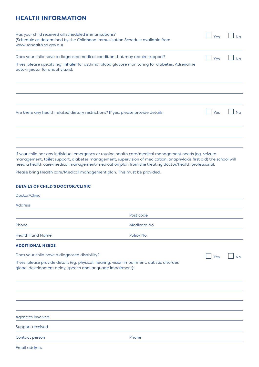### **HEALTH INFORMATION**

| Contact person                                                                                                                                             | Phone                                                                                                                                                                                                                                                                                                                                |     |           |
|------------------------------------------------------------------------------------------------------------------------------------------------------------|--------------------------------------------------------------------------------------------------------------------------------------------------------------------------------------------------------------------------------------------------------------------------------------------------------------------------------------|-----|-----------|
| Support received                                                                                                                                           |                                                                                                                                                                                                                                                                                                                                      |     |           |
| Agencies involved                                                                                                                                          |                                                                                                                                                                                                                                                                                                                                      |     |           |
|                                                                                                                                                            |                                                                                                                                                                                                                                                                                                                                      |     |           |
|                                                                                                                                                            |                                                                                                                                                                                                                                                                                                                                      |     |           |
|                                                                                                                                                            |                                                                                                                                                                                                                                                                                                                                      |     |           |
| If yes, please provide details (eg. physical, hearing, vision impairment, autistic disorder,<br>global development delay, speech and language impairment): |                                                                                                                                                                                                                                                                                                                                      |     |           |
| Does your child have a diagnosed disability?                                                                                                               |                                                                                                                                                                                                                                                                                                                                      | Yes | <b>No</b> |
| <b>ADDITIONAL NEEDS</b>                                                                                                                                    |                                                                                                                                                                                                                                                                                                                                      |     |           |
| <b>Health Fund Name</b>                                                                                                                                    | Policy No.                                                                                                                                                                                                                                                                                                                           |     |           |
| Phone                                                                                                                                                      | Medicare No.                                                                                                                                                                                                                                                                                                                         |     |           |
|                                                                                                                                                            | Post code                                                                                                                                                                                                                                                                                                                            |     |           |
| <b>Address</b>                                                                                                                                             |                                                                                                                                                                                                                                                                                                                                      |     |           |
| <b>DETAILS OF CHILD'S DOCTOR/CLINIC</b><br>Doctor/Clinic                                                                                                   |                                                                                                                                                                                                                                                                                                                                      |     |           |
|                                                                                                                                                            |                                                                                                                                                                                                                                                                                                                                      |     |           |
| Please bring Health care/Medical management plan. This must be provided.                                                                                   |                                                                                                                                                                                                                                                                                                                                      |     |           |
|                                                                                                                                                            | If your child has any individual emergency or routine health care/medical management needs (eg. seizure<br>management, toilet support, diabetes management, supervision of medication, anaphylaxis first aid) the school will<br>need a health care/medical management/medication plan from the treating doctor/health professional. |     |           |
|                                                                                                                                                            |                                                                                                                                                                                                                                                                                                                                      |     |           |
| Are there any health related dietary restrictions? If yes, please provide details:                                                                         |                                                                                                                                                                                                                                                                                                                                      | Yes | <b>No</b> |
|                                                                                                                                                            |                                                                                                                                                                                                                                                                                                                                      |     |           |
|                                                                                                                                                            |                                                                                                                                                                                                                                                                                                                                      |     |           |
| auto-injector for anaphylaxis):                                                                                                                            | If yes, please specify (eg. Inhaler for asthma, blood glucose monitoring for diabetes, Adrenaline                                                                                                                                                                                                                                    |     |           |
| Does your child have a diagnosed medical condition that may require support?                                                                               |                                                                                                                                                                                                                                                                                                                                      | Yes | <b>No</b> |
| www.sahealth.sa.gov.au)                                                                                                                                    |                                                                                                                                                                                                                                                                                                                                      |     |           |
| Has your child received all scheduled immunisations?<br>(Schedule as determined by the Childhood Immunisation Schedule available from                      |                                                                                                                                                                                                                                                                                                                                      | Yes | <b>No</b> |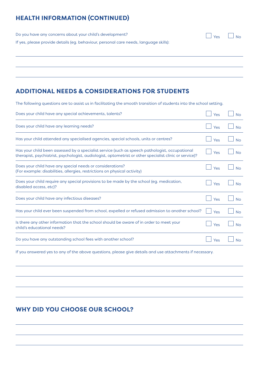# **HEALTH INFORMATION (CONTINUED)**

Do you have any concerns about your child's development? If yes, please provide details (eg. behaviour, personal care needs, language skills):  $\Box$  Yes  $\Box$  No.

### **ADDITIONAL NEEDS & CONSIDERATIONS FOR STUDENTS**

The following questions are to assist us in facilitating the smooth transition of students into the school setting.

| Does your child have any special achievements, talents?                                                                                                                                                   | Yes | <b>No</b>      |
|-----------------------------------------------------------------------------------------------------------------------------------------------------------------------------------------------------------|-----|----------------|
| Does your child have any learning needs?                                                                                                                                                                  | Yes | No             |
| Has your child attended any specialised agencies, special schools, units or centres?                                                                                                                      | Yes | N <sub>0</sub> |
| Has your child been assessed by a specialist service (such as speech pathologist, occupational<br>therapist, psychiatrist, psychologist, audiologist, optometrist or other specialist clinic or service)? | Yes | <b>No</b>      |
| Does your child have any special needs or considerations?<br>(For example: disabilities, allergies, restrictions on physical activity)                                                                    | Yes | No             |
| Does your child require any special provisions to be made by the school (eq. medication,<br>disabled access, etc)?                                                                                        | Yes | No             |
| Does your child have any infectious diseases?                                                                                                                                                             | Yes | N <sub>O</sub> |
| Has your child ever been suspended from school, expelled or refused admission to another school?                                                                                                          | Yes | No             |
| Is there any other information that the school should be aware of in order to meet your<br>child's educational needs?                                                                                     | Yes | N <sub>O</sub> |
| Do you have any outstanding school fees with another school?                                                                                                                                              | Yes |                |

If you answered yes to any of the above questions, please give details and use attachments if necessary.

### **WHY DID YOU CHOOSE OUR SCHOOL?**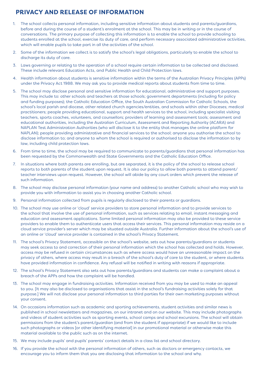### **PRIVACY AND RELEASE OF INFORMATION**

- 1. The school collects personal information, including sensitive information about students and parents/guardians, before and during the course of a student's enrolment at the school. This may be in writing or in the course of conversations. The primary purpose of collecting this information is to enable the school to provide schooling to students enrolled at the school, exercise its duty of care, and perform necessary associated administrative activities, which will enable pupils to take part in all the activities of the school.
- 2. Some of the information we collect is to satisfy the school's legal obligations, particularly to enable the school to discharge its duty of care.
- 3. Laws governing or relating to the operation of a school require certain information to be collected and disclosed. These include relevant Education Acts, and Public Health and Child Protection laws.
- 4. Health information about students is sensitive information within the terms of the Australian Privacy Principles (APPs) under the Privacy Act 1988. We may ask you to provide medical reports about students from time to time.
- 5. The school may disclose personal and sensitive information for educational, administrative and support purposes. This may include to: other schools and teachers at those schools; government departments (including for policy and funding purposes); the Catholic Education Office, the South Australian Commission for Catholic Schools, the school's local parish and diocese, other related church agencies/entities, and schools within other Dioceses; medical practitioners; people providing educational, support and health services to the school, including specialist visiting teachers, sports coaches, volunteers, and counsellors; providers of learning and assessment tools; assessment and educational authorities, including the Australian Curriculum, Assessment and Reporting Authority (ACARA) and NAPLAN Test Administration Authorities (who will disclose it to the entity that manages the online platform for NAPLAN); people providing administrative and financial services to the school; anyone you authorise the school to disclose information to; and anyone to whom the school is required or authorised to disclose the information to by law, including child protection laws.
- 6. From time to time, the school may be required to communicate to parents/guardians that personal information has been requested by the Commonwealth and State Governments and the Catholic Education Office.
- 7. In situations where both parents are enrolling, but are separated, it is the policy of the school to release school reports to both parents of the student upon request. It is also our policy to allow both parents to attend parent/ teacher interviews upon request. However, the school will abide by any court orders which prevent the release of such information.
- 8. The school may disclose personal information (your name and address) to another Catholic school who may wish to provide you with information to assist you in choosing another Catholic school.
- 9. Personal information collected from pupils is regularly disclosed to their parents or guardians.
- 10. The school may use online or 'cloud' service providers to store personal information and to provide services to the school that involve the use of personal information, such as services relating to email, instant messaging and education and assessment applications. Some limited personal information may also be provided to these service providers to enable them to authenticate users that access their services. This personal information may reside on a cloud service provider's server which may be situated outside Australia. Further information about the school's use of an online or 'cloud' service provider is contained in the school's Privacy Statement.
- 11. The school's Privacy Statement, accessible on the school's website, sets out how parents/guardians or students may seek access to and correction of their personal information which the school has collected and holds. However, access may be refused in certain circumstances such as where access would have an unreasonable impact on the privacy of others, where access may result in a breach of the school's duty of care to the student, or where students have provided information in confidence. Any refusal will be notified in writing with reasons if appropriate.
- 12. The school's Privacy Statement also sets out how parents/guardians and students can make a complaint about a breach of the APPs and how the complaint will be handled.
- 13. The school may engage in fundraising activities. Information received from you may be used to make an appeal to you. [It may also be disclosed to organisations that assist in the school's fundraising activities solely for that purpose.] We will not disclose your personal information to third parties for their own marketing purposes without your consent.
- 14. On occasions information such as academic and sporting achievements, student activities and similar news is published in school newsletters and magazines, on our intranet and on our website. This may include photographs and videos of student activities such as sporting events, school camps and school excursions. The school will obtain permissions from the student's parent/guardian (and from the student if appropriate) if we would like to include such photographs or videos [or other identifying material] in our promotional material or otherwise make this material available to the public such as on the internet.
- 15. We may include pupils' and pupils' parents' contact details in a class list and school directory.
- 16. If you provide the school with the personal information of others, such as doctors or emergency contacts, we encourage you to inform them that you are disclosing that information to the school and why.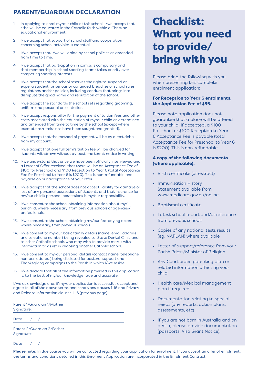# **PARENT/GUARDIAN DECLARATION**

- 1. In applying to enrol my/our child at this school, I/we accept that s/he will be educated in the Catholic faith within a Christian educational environment.
- 2. I/we accept that support of school staff and cooperation concerning school activities is essential.
- 3. I/we accept that I/we will abide by school policies as amended from time to time.
- 4. I/we accept that participation in camps is compulsory and that membership in school sporting teams takes priority over competing sporting interests.
- 5. I/we accept that the school reserves the right to suspend or expel a student for serious or continued breaches of school rules, regulations and/or policies, including conduct that brings into disrepute the good name and reputation of the school.
- 6. I/we accept the standards the school sets regarding grooming, uniform and personal presentation.
- 7. I/we accept responsibility for the payment of tuition fees and other costs associated with the education of my/our child as determined and amended from time to time by the school (except where exemptions/remissions have been sought and granted).
- 8. I/we accept that the method of payment will be by direct debit from my account.
- 9. I/we accept that one full term's tuition fee will be charged for students withdrawn without at least one term's notice in writing.
- 10. I/we understand that once we have been officially interviewed and a Letter of Offer received, that there will be an Acceptance Fee of \$100 for Preschool and \$100 Reception to Year 6 (total Acceptance Fee for Preschool to Year 6 is \$200). This is non-refundable and payable on our acceptance of your offer.
- 11. I/we accept that the school does not accept liability for damage or loss of any personal possessions of students and that insurance for my/our child's personal possessions is my/our responsibility.
- 12. I/we consent to the school obtaining information about my/ our child, where necessary, from previous schools or agencies/ professionals.
- 13. I/we consent to the school obtaining my/our fee-paying record, where necessary, from previous schools.
- 14. I/we consent to my/our basic family details (name, email address and telephone number) being revealed to: State Dental Clinic and to other Catholic schools who may wish to provide me/us with information to assist in choosing another Catholic school.
- 15. I/we consent to my/our personal details (contact name, telephone number, address) being disclosed for pastoral support and Thanksgiving campaigns to the Parish in which I/we reside.
- 16. I/we declare that all of the information provided in this application is, to the best of my/our knowledge, true and accurate.

I/we acknowledge and, if my/our application is successful, accept and agree to all of the above terms and conditions clauses 1-16 and Privacy and Release Information clauses 1-16 (previous page).

Parent 1/Guardian 1/Mother Signature:

Date / /

Parent 2/Guardian 2/Father Signature:

Date *in* 

# Checklist: What you need to provide/ bring with you

Please bring the following with you when presenting this complete enrolment application:

### **For Reception to Year 6 enrolments, the Application Fee of \$35.**

Please note application does not quarantee that a place will be offered to your child. If accepted, a \$100 Preschool or \$100 Reception to Year 6 Acceptance Fee is payable (total Acceptance Fee for Preschool to Year 6 is \$200). This is non-refundable.

### **A copy of the following documents (where applicable):**

- Birth certificate (or extract)
- Immunisation History Statement available from www.medicare.gov.au/online
- Baptismal certificate
- Latest school report and/or reference from previous schools
- Copies of any national tests results (eg. NAPLAN) where available
- Letter of support/reference from your Parish Priest/Minister of Religion
- Any Court order, parenting plan or related information affecting your child
- Health care/Medical management plan if required
- Documentation relating to special needs (any reports, action plans, assessments, etc)
- If you are not born in Australia and on a Visa, please provide documentation (passports, Visa Grant Notice).

Please note: In due course you will be contacted regarding your application for enrolment. If you accept an offer of enrolment, the terms and conditions detailed in this Enrolment Application are incorporated in the Enrolment Contract.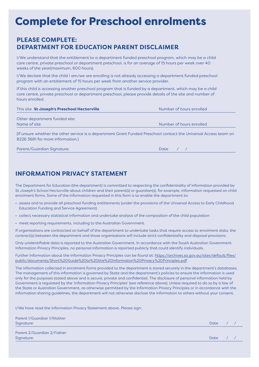# Complete for Preschool enrolments

### **PLEASE COMPLETE: DEPARTMENT FOR EDUCATION PARENT DISCLAIMER**

I/We understand that the entitlement to a department funded preschool program, which may be a child care centre, private preschool or department preschool, is for an average of 15 hours per week over 40 weeks of the year(maximum, 600 hours).

I/We declare that the child I am/we are enrolling is not already accessing a department funded preschool program with an entitlement of 15 hours per week from another service provider.

If this child is accessing another preschool program that is funded by a department, which may be a child care centre, private preschool or department preschool, please provide details of the site and number of hours enrolled.

| This site St Joseph's Preschool Hectorville                                                                      | Number of hours enrolled |
|------------------------------------------------------------------------------------------------------------------|--------------------------|
| Other department funded site:                                                                                    |                          |
| Name of site                                                                                                     | Number of hours enrolled |
| If unever whather the ather service is a department Crapt Funded Drescheel contact the Universal Access togen on |                          |

(If unsure whether the other service is a department Grant Funded Preschool contact the Universal Access team on 8226 3681 for more information.)

| Parent/Guardian Sianature: | Date |
|----------------------------|------|
|----------------------------|------|

### **INFORMATION PRIVACY STATEMENT**

The Department for Education (the department) is committed to respecting the confidentiality of information provided by St Joseph's School Hectorville about children and their parent(s) or guardian(s), for example, information requested on child enrolment forms. Some of the information requested in this form is to enable the department to:

- assess and to provide all preschool funding entitlements (under the provisions of the Universal Access to Early Childhood Education Funding and Service Agreement)
- collect necessary statistical information and undertake analysis of the composition of the child population
- meet reporting requirements, including to the Australian Government.

If organisations are contracted on behalf of the department to undertake tasks that require access to enrolment data, the contract(s) between the department and those organisations will include strict confidentiality and disposal provisions.

Only unidentifiable data is reported to the Australian Government. In accordance with the South Australian Government Information Privacy Principles, no personal information is reported publicly that could identify individuals.

Further information about the Information Privacy Principles can be found at: https://archives.sa.gov.au/sites/default/files/ public/documents/Short%20Guide%20to%20the%20Information%20Privacy%20Principles.pdf

The information collected in enrolment forms provided to the department is stored securely in the department's databases. The management of this information is governed by State and the department's policies to ensure the information is used only for the purposes stated above and is secure, private and confidential. The disclosure of personal information held by Government is regulated by the 'Information Privacy Principles' (see reference above). Unless required to do so by a law of the State or Australian Government, as otherwise permitted by the Information Privacy Principles or in accordance with the information sharing guidelines, the department will not otherwise disclose the information to others without your consent.

I/We have read the Information Privacy Statement above. Please sign:

Parent 1/Guardian 1/Mother Signature:  $\qquad \qquad \qquad$  Date  $\qquad \qquad / \quad /$ 

Parent 2/Guardian 2/Father Signature:  $\qquad \qquad \qquad$  Date  $\qquad \qquad / \quad /$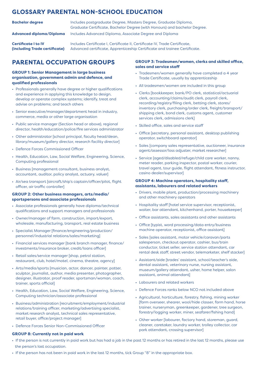### **GLOSSARY PARENTAL NON-SCHOOL EDUCATION**

| <b>Bachelor degree</b>   | Includes postgraduate Degree, Masters Degree, Graduate Diploma,<br>Graduate Certificate, Bachelor Degree (with Honours) and bachelor Degree. |
|--------------------------|----------------------------------------------------------------------------------------------------------------------------------------------|
| Advanced diploma/Diploma | Includes Advanced Diploma, Associate Degree and Diploma                                                                                      |

**Certificate I to IV (including Trade certificate)** Includes Certificate I, Certificate II, Certificate IV, Trade Certificate, Advanced certificate, Apprenticeship Certificate and trainee Certificate.

### **PARENTAL OCCUPATION GROUPS**

### **GROUP 1: Senior Management in large business organisation, government admin and defence, and qualified professionals**

- Professionals generally have degree or higher qualifications and experience in applying this knowledge to design, develop or operate complex systems; identify, treat and advise on problems; and teach others
- Senior executive/manager/department head in industry, commerce, media or other large organisation
- Public service manager (Section head or above), regional director, health/education/police/fire services administrator
- Other administrator [school principal, faculty head/dean, library/museum/gallery director, research facility director]
- Defence Forces Commissioned Officer
- Health, Education, Law, Social Welfare, Engineering, Science, Computing professional
- Business [management consultant, business analyst, accountant, auditor, policy analyst, actuary, valuer]
- Air/sea transport [aircraft/ship's captain/officer/pilot, flight officer, air traffic controller]

#### **GROUP 2: Other business managers, arts/media/ sportspersons and associate professionals**

- Associate professionals generally have diploma/technical qualifications and support managers and professionals
- Owner/manager of farm, construction, import/export, wholesale, manufacturing, transport, real estate business
- Specialist Manager [finance/engineering/production/ personnel/industrial relations/sales/marketing]
- Financial services manager [bank branch manager, finance/ investments/insurance broker, credit/loans officer]
- Retail sales/service manager [shop, petrol station, restaurant, club, hotel/motel, cinema, theatre, agency]
- Arts/media/sports [musician, actor, dancer, painter, potter, sculptor, journalist, author, media presenter, photographer, designer, illustrator, proof reader, sportsman/woman, coach, trainer, sports official]
- Health, Education, Law, Social Welfare, Engineering, Science, Computing technician/associate professional
- Business/administration [recruitment/employment/industrial relations/training officer, marketing/advertising specialist, market research analyst, technical sales representative, retail buyer, office/project manager]
- Defence Forces Senior Non-Commissioned Officer

### **GROUP 8: Currently not in paid work**

#### **GROUP 3: Tradesmen/women, clerks and skilled office, sales and service staff**

- Tradesmen/women generally have completed a 4 year Trade Certificate, usually by apprenticeship
- All tradesmen/women are included in this group
- Clerks [bookkeeper, bank/PO clerk, statistical/actuarial clerk, accounting/claims/audit clerk, payroll clerk, recording/registry/filing clerk, betting clerk, stores/ inventory clerk, purchasing/order clerk, freight/transport/ shipping clerk, bond clerk, customs agent, customer services clerk, admissions clerk]
- Skilled office, sales and service staff
- Office [secretary, personal assistant, desktop publishing operator, switchboard operator]
- Sales [company sales representative, auctioneer, insurance agent/assessor/loss adjuster, market researcher]
- Service [aged/disabled/refuge/child care worker, nanny, meter reader, parking inspector, postal worker, courier, travel agent, tour guide, flight attendant, fitness instructor, casino dealer/supervisor]

### **GROUP 4: Machine operators, hospitality staff, assistants, labourers and related workers**

- Drivers, mobile plant, production/processing machinery and other machinery operators
- Hospitality staff [hotel service supervisor, receptionist, waiter, bar attendant, kitchenhand, porter, housekeeper]
- Office assistants, sales assistants and other assistants
- Office [typist, word processing/data entry/business machine operator, receptionist, office assistant]
- Sales [sales assistant, motor vehicle/caravan/parts salesperson, checkout operator, cashier, bus/train conductor, ticket seller, service station attendant, car rental desk staff, street vendor, telemarketer, shelf stacker]
- Assistant/aide [trades' assistant, school/teacher's aide, dental assistant, veterinary nurse, nursing assistant, museum/gallery attendant, usher, home helper, salon assistant, animal attendant]
- Labourers and related workers
- Defence Forces ranks below NCO not included above
- Agricultural, horticulture, forestry, fishing, mining worker [farm overseer, shearer, wool/hide classer, farm hand, horse trainer, nurseryman, greenkeeper, gardener, tree surgeon, forestry/logging worker, miner, seafarer/fishing hand]
- Other worker [labourer, factory hand, storeman, guard, cleaner, caretaker, laundry worker, trolley collector, car park attendant, crossing supervisor]
- If the person is not currently in paid work but has had a job in the past 12 months or has retired in the last 12 months, please use the person's last occupation.
- If the person has not been in paid work in the last 12 months, tick Group "8" in the appropriate box.